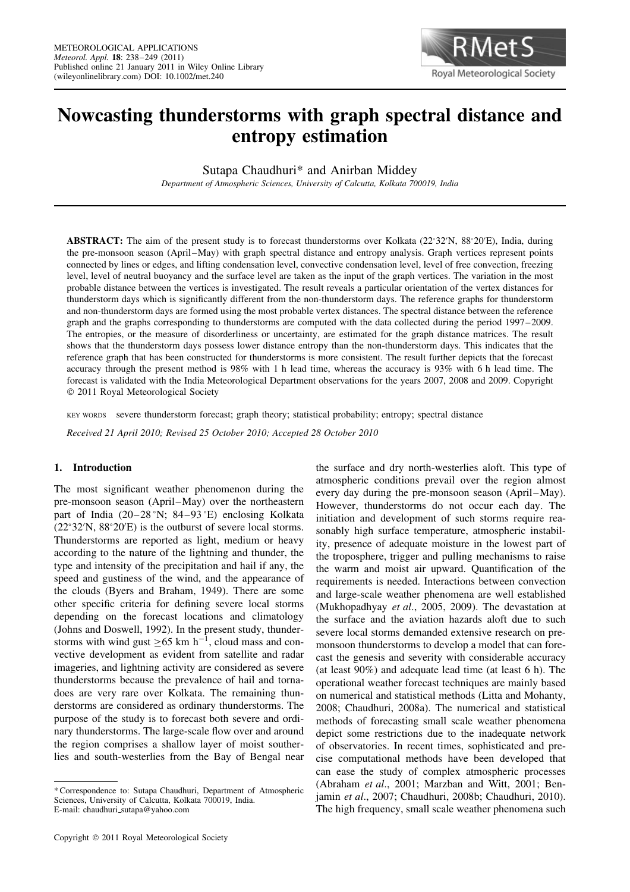

# **Nowcasting thunderstorms with graph spectral distance and entropy estimation**

Sutapa Chaudhuri\* and Anirban Middey

*Department of Atmospheric Sciences, University of Calcutta, Kolkata 700019, India*

**ABSTRACT:** The aim of the present study is to forecast thunderstorms over Kolkata (22°32′N, 88°20′E), India, during the pre-monsoon season (April–May) with graph spectral distance and entropy analysis. Graph vertices represent points connected by lines or edges, and lifting condensation level, convective condensation level, level of free convection, freezing level, level of neutral buoyancy and the surface level are taken as the input of the graph vertices. The variation in the most probable distance between the vertices is investigated. The result reveals a particular orientation of the vertex distances for thunderstorm days which is significantly different from the non-thunderstorm days. The reference graphs for thunderstorm and non-thunderstorm days are formed using the most probable vertex distances. The spectral distance between the reference graph and the graphs corresponding to thunderstorms are computed with the data collected during the period 1997–2009. The entropies, or the measure of disorderliness or uncertainty, are estimated for the graph distance matrices. The result shows that the thunderstorm days possess lower distance entropy than the non-thunderstorm days. This indicates that the reference graph that has been constructed for thunderstorms is more consistent. The result further depicts that the forecast accuracy through the present method is 98% with 1 h lead time, whereas the accuracy is 93% with 6 h lead time. The forecast is validated with the India Meteorological Department observations for the years 2007, 2008 and 2009. Copyright 2011 Royal Meteorological Society

KEY WORDS severe thunderstorm forecast; graph theory; statistical probability; entropy; spectral distance

*Received 21 April 2010; Revised 25 October 2010; Accepted 28 October 2010*

## **1. Introduction**

The most significant weather phenomenon during the pre-monsoon season (April–May) over the northeastern part of India (20–28 °N; 84–93 °E) enclosing Kolkata (22°32′N, 88°20′E) is the outburst of severe local storms. Thunderstorms are reported as light, medium or heavy according to the nature of the lightning and thunder, the type and intensity of the precipitation and hail if any, the speed and gustiness of the wind, and the appearance of the clouds (Byers and Braham, 1949). There are some other specific criteria for defining severe local storms depending on the forecast locations and climatology (Johns and Doswell, 1992). In the present study, thunderstorms with wind gust  $\geq 65$  km h<sup>-1</sup>, cloud mass and convective development as evident from satellite and radar imageries, and lightning activity are considered as severe thunderstorms because the prevalence of hail and tornadoes are very rare over Kolkata. The remaining thunderstorms are considered as ordinary thunderstorms. The purpose of the study is to forecast both severe and ordinary thunderstorms. The large-scale flow over and around the region comprises a shallow layer of moist southerlies and south-westerlies from the Bay of Bengal near

the surface and dry north-westerlies aloft. This type of atmospheric conditions prevail over the region almost every day during the pre-monsoon season (April–May). However, thunderstorms do not occur each day. The initiation and development of such storms require reasonably high surface temperature, atmospheric instability, presence of adequate moisture in the lowest part of the troposphere, trigger and pulling mechanisms to raise the warm and moist air upward. Quantification of the requirements is needed. Interactions between convection and large-scale weather phenomena are well established (Mukhopadhyay *et al*., 2005, 2009). The devastation at the surface and the aviation hazards aloft due to such severe local storms demanded extensive research on premonsoon thunderstorms to develop a model that can forecast the genesis and severity with considerable accuracy (at least 90%) and adequate lead time (at least 6 h). The operational weather forecast techniques are mainly based on numerical and statistical methods (Litta and Mohanty, 2008; Chaudhuri, 2008a). The numerical and statistical methods of forecasting small scale weather phenomena depict some restrictions due to the inadequate network of observatories. In recent times, sophisticated and precise computational methods have been developed that can ease the study of complex atmospheric processes (Abraham *et al*., 2001; Marzban and Witt, 2001; Benjamin *et al*., 2007; Chaudhuri, 2008b; Chaudhuri, 2010). The high frequency, small scale weather phenomena such

<sup>\*</sup> Correspondence to: Sutapa Chaudhuri, Department of Atmospheric Sciences, University of Calcutta, Kolkata 700019, India. E-mail: chaudhuri sutapa@yahoo.com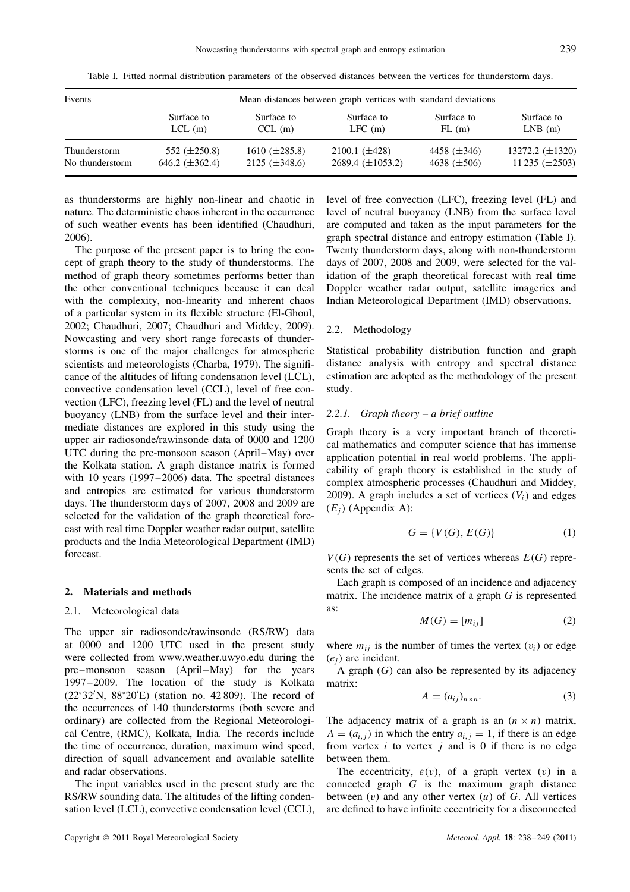| Events          |                     | Mean distances between graph vertices with standard deviations |                         |                  |                      |  |  |  |  |
|-----------------|---------------------|----------------------------------------------------------------|-------------------------|------------------|----------------------|--|--|--|--|
|                 | Surface to          | Surface to                                                     | Surface to              | Surface to       | Surface to           |  |  |  |  |
|                 | $LCL$ (m)           | $CCL$ (m)                                                      | LFC(m)                  | FL(m)            | $LNB$ (m)            |  |  |  |  |
| Thunderstorm    | 552 $(\pm 250.8)$   | $1610 (\pm 285.8)$                                             | $2100.1~(\pm 428)$      | 4458 $(\pm 346)$ | 13272.2 $(\pm 1320)$ |  |  |  |  |
| No thunderstorm | 646.2 $(\pm 362.4)$ | $2125 (\pm 348.6)$                                             | $2689.4 \ (\pm 1053.2)$ | 4638 $(\pm 506)$ | 11 235 $(\pm 2503)$  |  |  |  |  |

Table I. Fitted normal distribution parameters of the observed distances between the vertices for thunderstorm days.

as thunderstorms are highly non-linear and chaotic in nature. The deterministic chaos inherent in the occurrence of such weather events has been identified (Chaudhuri, 2006).

The purpose of the present paper is to bring the concept of graph theory to the study of thunderstorms. The method of graph theory sometimes performs better than the other conventional techniques because it can deal with the complexity, non-linearity and inherent chaos of a particular system in its flexible structure (El-Ghoul, 2002; Chaudhuri, 2007; Chaudhuri and Middey, 2009). Nowcasting and very short range forecasts of thunderstorms is one of the major challenges for atmospheric scientists and meteorologists (Charba, 1979). The significance of the altitudes of lifting condensation level (LCL), convective condensation level (CCL), level of free convection (LFC), freezing level (FL) and the level of neutral buoyancy (LNB) from the surface level and their intermediate distances are explored in this study using the upper air radiosonde/rawinsonde data of 0000 and 1200 UTC during the pre-monsoon season (April–May) over the Kolkata station. A graph distance matrix is formed with 10 years (1997–2006) data. The spectral distances and entropies are estimated for various thunderstorm days. The thunderstorm days of 2007, 2008 and 2009 are selected for the validation of the graph theoretical forecast with real time Doppler weather radar output, satellite products and the India Meteorological Department (IMD) forecast.

#### **2. Materials and methods**

## 2.1. Meteorological data

The upper air radiosonde/rawinsonde (RS/RW) data at 0000 and 1200 UTC used in the present study were collected from www.weather.uwyo.edu during the pre–monsoon season (April–May) for the years 1997–2009. The location of the study is Kolkata (22°32′N, 88°20′E) (station no. 42 809). The record of the occurrences of 140 thunderstorms (both severe and ordinary) are collected from the Regional Meteorological Centre, (RMC), Kolkata, India. The records include the time of occurrence, duration, maximum wind speed, direction of squall advancement and available satellite and radar observations.

The input variables used in the present study are the RS/RW sounding data. The altitudes of the lifting condensation level (LCL), convective condensation level (CCL), level of free convection (LFC), freezing level (FL) and level of neutral buoyancy (LNB) from the surface level are computed and taken as the input parameters for the graph spectral distance and entropy estimation (Table I). Twenty thunderstorm days, along with non-thunderstorm days of 2007, 2008 and 2009, were selected for the validation of the graph theoretical forecast with real time Doppler weather radar output, satellite imageries and Indian Meteorological Department (IMD) observations.

## 2.2. Methodology

Statistical probability distribution function and graph distance analysis with entropy and spectral distance estimation are adopted as the methodology of the present study.

## *2.2.1. Graph theory – a brief outline*

Graph theory is a very important branch of theoretical mathematics and computer science that has immense application potential in real world problems. The applicability of graph theory is established in the study of complex atmospheric processes (Chaudhuri and Middey, 2009). A graph includes a set of vertices  $(V_i)$  and edges  $(E_i)$  (Appendix A):

$$
G = \{V(G), E(G)\}\tag{1}
$$

 $V(G)$  represents the set of vertices whereas  $E(G)$  represents the set of edges.

Each graph is composed of an incidence and adjacency matrix. The incidence matrix of a graph G is represented as:

$$
M(G) = [m_{ij}] \tag{2}
$$

where  $m_{ij}$  is the number of times the vertex  $(v_i)$  or edge  $(e_i)$  are incident.

A graph  $(G)$  can also be represented by its adjacency matrix:

$$
A = (a_{ij})_{n \times n}.\tag{3}
$$

The adjacency matrix of a graph is an  $(n \times n)$  matrix,  $A = (a_{i,j})$  in which the entry  $a_{i,j} = 1$ , if there is an edge from vertex  $i$  to vertex  $j$  and is 0 if there is no edge between them.

The eccentricity,  $\varepsilon(v)$ , of a graph vertex (v) in a connected graph G is the maximum graph distance between  $(v)$  and any other vertex  $(u)$  of G. All vertices are defined to have infinite eccentricity for a disconnected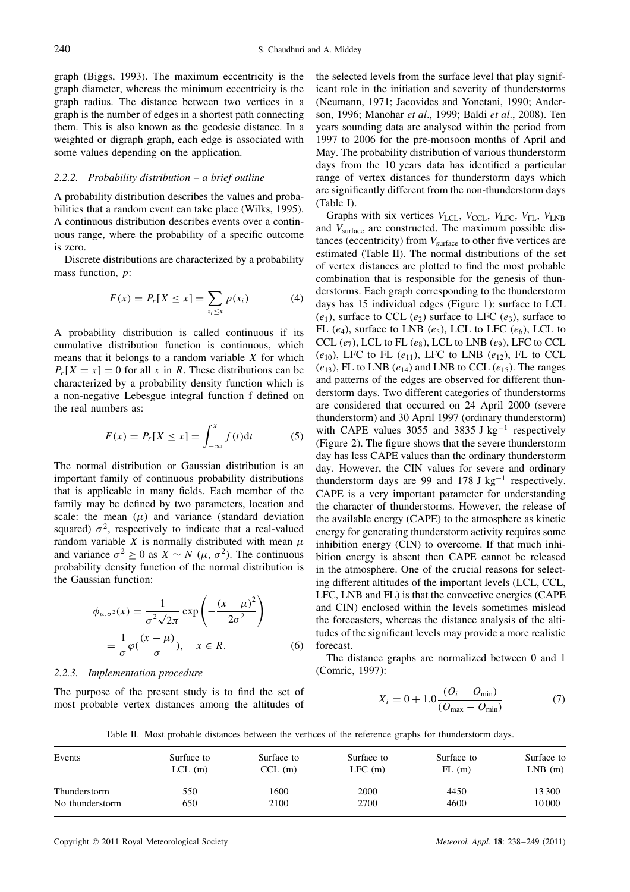graph (Biggs, 1993). The maximum eccentricity is the graph diameter, whereas the minimum eccentricity is the graph radius. The distance between two vertices in a graph is the number of edges in a shortest path connecting them. This is also known as the geodesic distance. In a weighted or digraph graph, each edge is associated with some values depending on the application.

## *2.2.2. Probability distribution – a brief outline*

A probability distribution describes the values and probabilities that a random event can take place (Wilks, 1995). A continuous distribution describes events over a continuous range, where the probability of a specific outcome is zero.

Discrete distributions are characterized by a probability mass function, *p*:

$$
F(x) = P_r[X \le x] = \sum_{x_i \le x} p(x_i)
$$
 (4)

A probability distribution is called continuous if its cumulative distribution function is continuous, which means that it belongs to a random variable  $X$  for which  $P_r[X = x] = 0$  for all x in R. These distributions can be characterized by a probability density function which is a non-negative Lebesgue integral function f defined on the real numbers as:

$$
F(x) = P_r[X \le x] = \int_{-\infty}^{x} f(t)dt
$$
 (5)

The normal distribution or Gaussian distribution is an important family of continuous probability distributions that is applicable in many fields. Each member of the family may be defined by two parameters, location and scale: the mean  $(\mu)$  and variance (standard deviation squared)  $\sigma^2$ , respectively to indicate that a real-valued random variable X is normally distributed with mean  $\mu$ and variance  $\sigma^2 \ge 0$  as  $X \sim N(\mu, \sigma^2)$ . The continuous probability density function of the normal distribution is the Gaussian function:

$$
\phi_{\mu,\sigma^2}(x) = \frac{1}{\sigma^2 \sqrt{2\pi}} \exp\left(-\frac{(x-\mu)^2}{2\sigma^2}\right)
$$

$$
= \frac{1}{\sigma} \varphi\left(\frac{(x-\mu)}{\sigma}\right), \quad x \in R. \tag{6}
$$

#### *2.2.3. Implementation procedure*

The purpose of the present study is to find the set of most probable vertex distances among the altitudes of

the selected levels from the surface level that play significant role in the initiation and severity of thunderstorms (Neumann, 1971; Jacovides and Yonetani, 1990; Anderson, 1996; Manohar *et al*., 1999; Baldi *et al*., 2008). Ten years sounding data are analysed within the period from 1997 to 2006 for the pre-monsoon months of April and May. The probability distribution of various thunderstorm days from the 10 years data has identified a particular range of vertex distances for thunderstorm days which are significantly different from the non-thunderstorm days (Table I).

Graphs with six vertices  $V_{\text{LCL}}$ ,  $V_{\text{CCL}}$ ,  $V_{\text{LFC}}$ ,  $V_{\text{FI}}$ ,  $V_{\text{LNB}}$ and  $V_{\text{surface}}$  are constructed. The maximum possible distances (eccentricity) from  $V_{\text{surface}}$  to other five vertices are estimated (Table II). The normal distributions of the set of vertex distances are plotted to find the most probable combination that is responsible for the genesis of thunderstorms. Each graph corresponding to the thunderstorm days has 15 individual edges (Figure 1): surface to LCL  $(e_1)$ , surface to CCL  $(e_2)$  surface to LFC  $(e_3)$ , surface to FL (e<sub>4</sub>), surface to LNB (e<sub>5</sub>), LCL to LFC (e<sub>6</sub>), LCL to CCL  $(e_7)$ , LCL to FL  $(e_8)$ , LCL to LNB  $(e_9)$ , LFC to CCL  $(e_{10})$ , LFC to FL  $(e_{11})$ , LFC to LNB  $(e_{12})$ , FL to CCL  $(e_{13})$ , FL to LNB  $(e_{14})$  and LNB to CCL  $(e_{15})$ . The ranges and patterns of the edges are observed for different thunderstorm days. Two different categories of thunderstorms are considered that occurred on 24 April 2000 (severe thunderstorm) and 30 April 1997 (ordinary thunderstorm) with CAPE values 3055 and 3835 J kg<sup>-1</sup> respectively (Figure 2). The figure shows that the severe thunderstorm day has less CAPE values than the ordinary thunderstorm day. However, the CIN values for severe and ordinary thunderstorm days are 99 and 178 J  $kg^{-1}$  respectively. CAPE is a very important parameter for understanding the character of thunderstorms. However, the release of the available energy (CAPE) to the atmosphere as kinetic energy for generating thunderstorm activity requires some inhibition energy (CIN) to overcome. If that much inhibition energy is absent then CAPE cannot be released in the atmosphere. One of the crucial reasons for selecting different altitudes of the important levels (LCL, CCL, LFC, LNB and FL) is that the convective energies (CAPE and CIN) enclosed within the levels sometimes mislead the forecasters, whereas the distance analysis of the altitudes of the significant levels may provide a more realistic forecast.

The distance graphs are normalized between 0 and 1 (Comric, 1997):

$$
X_i = 0 + 1.0 \frac{(O_i - O_{\min})}{(O_{\max} - O_{\min})}
$$
 (7)

Table II. Most probable distances between the vertices of the reference graphs for thunderstorm days.

| Events          | Surface to | Surface to | Surface to | Surface to | Surface to |
|-----------------|------------|------------|------------|------------|------------|
|                 | $LCL$ (m)  | $CCL$ (m)  | $LFC$ (m)  | FL(m)      | $LNB$ (m)  |
| Thunderstorm    | 550        | 1600       | 2000       | 4450       | 13 300     |
| No thunderstorm | 650        | 2100       | 2700       | 4600       | 10000      |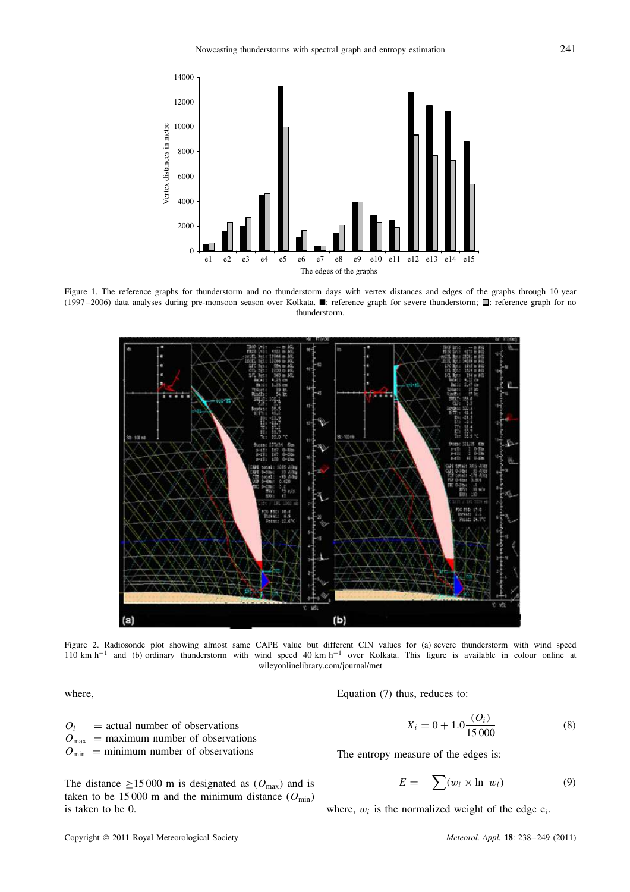

Figure 1. The reference graphs for thunderstorm and no thunderstorm days with vertex distances and edges of the graphs through 10 year (1997–2006) data analyses during pre-monsoon season over Kolkata.  $\blacksquare$ : reference graph for severe thunderstorm;  $\blacksquare$ : reference graph for no thunderstorm.



Figure 2. Radiosonde plot showing almost same CAPE value but different CIN values for (a) severe thunderstorm with wind speed 110 km h−<sup>1</sup> and (b) ordinary thunderstorm with wind speed 40 km h−<sup>1</sup> over Kolkata. This figure is available in colour online at wileyonlinelibrary.com/journal/met

where,

 $O_i$  = actual number of observations  $O_{\text{max}}$  = maximum number of observations  $O_{\text{min}}$  = minimum number of observations

The distance  $\geq 15000$  m is designated as  $(O_{\text{max}})$  and is taken to be 15 000 m and the minimum distance  $(O_{\text{min}})$ is taken to be 0.

Equation (7) thus, reduces to:

$$
X_i = 0 + 1.0 \frac{(O_i)}{15\,000} \tag{8}
$$

The entropy measure of the edges is:

$$
E = -\sum (w_i \times \ln \, w_i) \tag{9}
$$

where,  $w_i$  is the normalized weight of the edge  $e_i$ .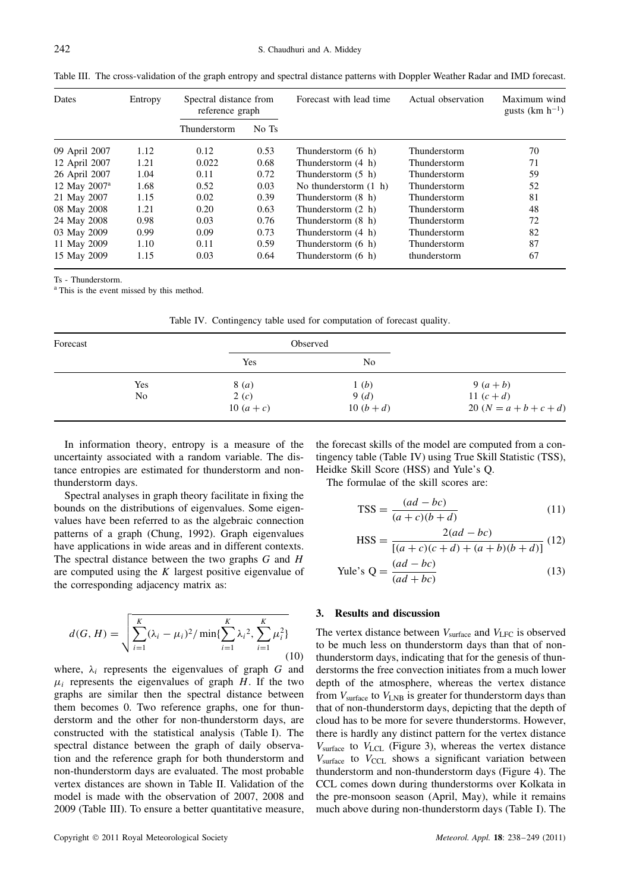|  |  | Table III. The cross-validation of the graph entropy and spectral distance patterns with Doppler Weather Radar and IMD forecast. |
|--|--|----------------------------------------------------------------------------------------------------------------------------------|
|  |  |                                                                                                                                  |

| Dates                    | Entropy | Spectral distance from<br>reference graph |       | Forecast with lead time | Actual observation  | Maximum wind<br>gusts $(km h^{-1})$ |  |
|--------------------------|---------|-------------------------------------------|-------|-------------------------|---------------------|-------------------------------------|--|
|                          |         | Thunderstorm                              | No Ts |                         |                     |                                     |  |
| 09 April 2007            | 1.12    | 0.12                                      | 0.53  | Thunderstorm (6 h)      | Thunderstorm        | 70                                  |  |
| 12 April 2007            | 1.21    | 0.022                                     | 0.68  | Thunderstorm (4 h)      | <b>Thunderstorm</b> | 71                                  |  |
| 26 April 2007            | 1.04    | 0.11                                      | 0.72  | Thunderstorm $(5 \; h)$ | Thunderstorm        | 59                                  |  |
| 12 May 2007 <sup>a</sup> | 1.68    | 0.52                                      | 0.03  | No thunderstorm $(1 h)$ | Thunderstorm        | 52                                  |  |
| 21 May 2007              | 1.15    | 0.02                                      | 0.39  | Thunderstorm (8 h)      | Thunderstorm        | 81                                  |  |
| 08 May 2008              | 1.21    | 0.20                                      | 0.63  | Thunderstorm (2 h)      | Thunderstorm        | 48                                  |  |
| 24 May 2008              | 0.98    | 0.03                                      | 0.76  | Thunderstorm (8 h)      | Thunderstorm        | 72                                  |  |
| 03 May 2009              | 0.99    | 0.09                                      | 0.73  | Thunderstorm (4 h)      | Thunderstorm        | 82                                  |  |
| 11 May 2009              | 1.10    | 0.11                                      | 0.59  | Thunderstorm (6 h)      | Thunderstorm        | 87                                  |  |
| 15 May 2009              | 1.15    | 0.03                                      | 0.64  | Thunderstorm (6 h)      | thunderstorm        | 67                                  |  |

Ts - Thunderstorm.

<sup>a</sup> This is the event missed by this method.

| Table IV. Contingency table used for computation of forecast quality. |  |  |  |
|-----------------------------------------------------------------------|--|--|--|
|                                                                       |  |  |  |

| Forecast |                |                | Observed       |                            |
|----------|----------------|----------------|----------------|----------------------------|
|          |                | Yes            | N <sub>0</sub> |                            |
|          | Yes            | 8 ( <i>a</i> ) | 1(b)           | 9 $(a + b)$                |
|          | N <sub>0</sub> | 2(c)           | 9(d)           | 11 $(c+d)$                 |
|          |                | 10 $(a + c)$   | 10 $(b+d)$     | 20 ( $N = a + b + c + d$ ) |

In information theory, entropy is a measure of the uncertainty associated with a random variable. The distance entropies are estimated for thunderstorm and nonthunderstorm days.

Spectral analyses in graph theory facilitate in fixing the bounds on the distributions of eigenvalues. Some eigenvalues have been referred to as the algebraic connection patterns of a graph (Chung, 1992). Graph eigenvalues have applications in wide areas and in different contexts. The spectral distance between the two graphs  $G$  and  $H$ are computed using the  $K$  largest positive eigenvalue of the corresponding adjacency matrix as:

$$
d(G, H) = \sqrt{\sum_{i=1}^{K} (\lambda_i - \mu_i)^2 / \min\{\sum_{i=1}^{K} \lambda_i^2, \sum_{i=1}^{K} \mu_i^2\}}
$$
(10)

where,  $\lambda_i$  represents the eigenvalues of graph G and  $\mu_i$  represents the eigenvalues of graph H. If the two graphs are similar then the spectral distance between them becomes 0. Two reference graphs, one for thunderstorm and the other for non-thunderstorm days, are constructed with the statistical analysis (Table I). The spectral distance between the graph of daily observation and the reference graph for both thunderstorm and non-thunderstorm days are evaluated. The most probable vertex distances are shown in Table II. Validation of the model is made with the observation of 2007, 2008 and 2009 (Table III). To ensure a better quantitative measure,

the forecast skills of the model are computed from a contingency table (Table IV) using True Skill Statistic (TSS), Heidke Skill Score (HSS) and Yule's Q.

The formulae of the skill scores are:

$$
TSS = \frac{(ad - bc)}{(a + c)(b + d)}
$$
(11)

$$
HSS = \frac{2(ad - bc)}{[(a + c)(c + d) + (a + b)(b + d)]}
$$
(12)

$$
\text{Yule's } Q = \frac{(ad - bc)}{(ad + bc)}\tag{13}
$$

#### **3. Results and discussion**

The vertex distance between  $V_{\text{surface}}$  and  $V_{\text{LFC}}$  is observed to be much less on thunderstorm days than that of nonthunderstorm days, indicating that for the genesis of thunderstorms the free convection initiates from a much lower depth of the atmosphere, whereas the vertex distance from  $V_{\text{surface}}$  to  $V_{\text{LNB}}$  is greater for thunderstorm days than that of non-thunderstorm days, depicting that the depth of cloud has to be more for severe thunderstorms. However, there is hardly any distinct pattern for the vertex distance  $V_{\text{surface}}$  to  $V_{\text{LCL}}$  (Figure 3), whereas the vertex distance  $V_{\text{surface}}$  to  $V_{\text{CCL}}$  shows a significant variation between thunderstorm and non-thunderstorm days (Figure 4). The CCL comes down during thunderstorms over Kolkata in the pre-monsoon season (April, May), while it remains much above during non-thunderstorm days (Table I). The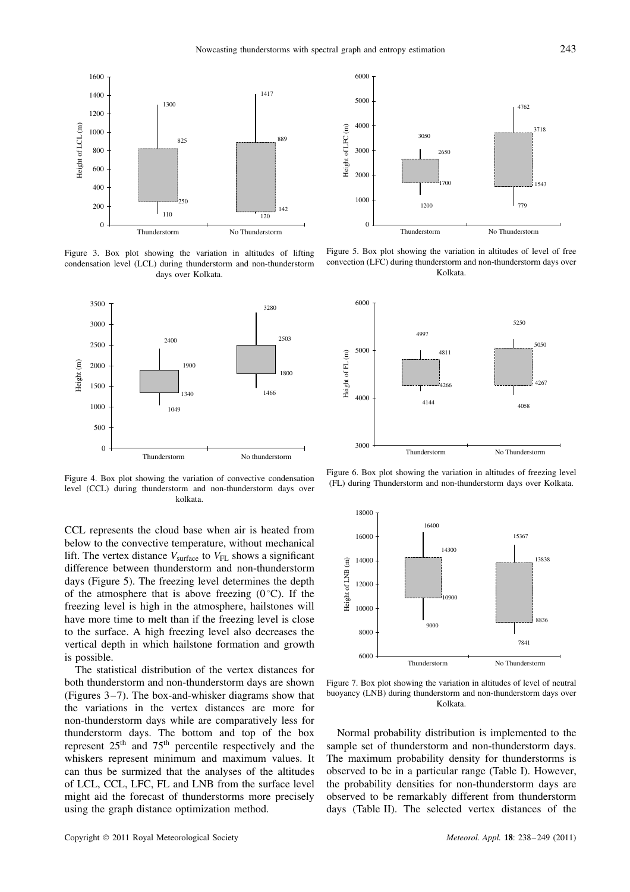

Figure 3. Box plot showing the variation in altitudes of lifting condensation level (LCL) during thunderstorm and non-thunderstorm days over Kolkata.



Figure 4. Box plot showing the variation of convective condensation level (CCL) during thunderstorm and non-thunderstorm days over kolkata.

CCL represents the cloud base when air is heated from below to the convective temperature, without mechanical lift. The vertex distance  $V_{\text{surface}}$  to  $V_{\text{FL}}$  shows a significant difference between thunderstorm and non-thunderstorm days (Figure 5). The freezing level determines the depth of the atmosphere that is above freezing  $(0^{\circ}C)$ . If the freezing level is high in the atmosphere, hailstones will have more time to melt than if the freezing level is close to the surface. A high freezing level also decreases the vertical depth in which hailstone formation and growth is possible.

The statistical distribution of the vertex distances for both thunderstorm and non-thunderstorm days are shown (Figures 3–7). The box-and-whisker diagrams show that the variations in the vertex distances are more for non-thunderstorm days while are comparatively less for thunderstorm days. The bottom and top of the box represent  $25<sup>th</sup>$  and  $75<sup>th</sup>$  percentile respectively and the whiskers represent minimum and maximum values. It can thus be surmized that the analyses of the altitudes of LCL, CCL, LFC, FL and LNB from the surface level might aid the forecast of thunderstorms more precisely using the graph distance optimization method.



Figure 5. Box plot showing the variation in altitudes of level of free convection (LFC) during thunderstorm and non-thunderstorm days over Kolkata.



Figure 6. Box plot showing the variation in altitudes of freezing level (FL) during Thunderstorm and non-thunderstorm days over Kolkata.



Figure 7. Box plot showing the variation in altitudes of level of neutral buoyancy (LNB) during thunderstorm and non-thunderstorm days over Kolkata.

Normal probability distribution is implemented to the sample set of thunderstorm and non-thunderstorm days. The maximum probability density for thunderstorms is observed to be in a particular range (Table I). However, the probability densities for non-thunderstorm days are observed to be remarkably different from thunderstorm days (Table II). The selected vertex distances of the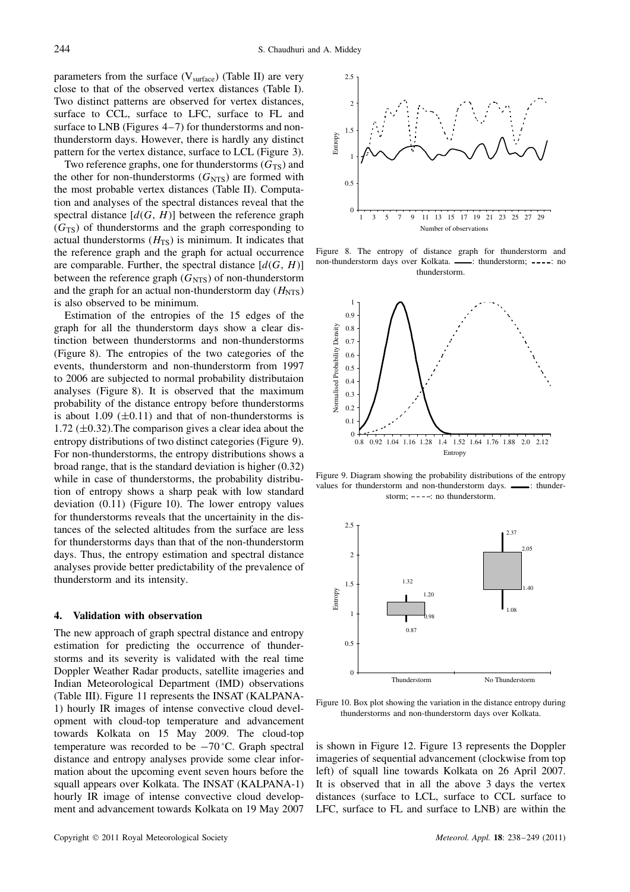parameters from the surface  $(V_{\text{surface}})$  (Table II) are very close to that of the observed vertex distances (Table I). Two distinct patterns are observed for vertex distances, surface to CCL, surface to LFC, surface to FL and surface to LNB (Figures 4–7) for thunderstorms and nonthunderstorm days. However, there is hardly any distinct pattern for the vertex distance, surface to LCL (Figure 3).

Two reference graphs, one for thunderstorms  $(G_{TS})$  and the other for non-thunderstorms  $(G<sub>NTS</sub>)$  are formed with the most probable vertex distances (Table II). Computation and analyses of the spectral distances reveal that the spectral distance  $[d(G, H)]$  between the reference graph  $(G<sub>TS</sub>)$  of thunderstorms and the graph corresponding to actual thunderstorms  $(H_{TS})$  is minimum. It indicates that the reference graph and the graph for actual occurrence are comparable. Further, the spectral distance  $[d(G, H)]$ between the reference graph  $(G<sub>NTS</sub>)$  of non-thunderstorm and the graph for an actual non-thunderstorm day  $(H<sub>NTS</sub>)$ is also observed to be minimum.

Estimation of the entropies of the 15 edges of the graph for all the thunderstorm days show a clear distinction between thunderstorms and non-thunderstorms (Figure 8). The entropies of the two categories of the events, thunderstorm and non-thunderstorm from 1997 to 2006 are subjected to normal probability distributaion analyses (Figure 8). It is observed that the maximum probability of the distance entropy before thunderstorms is about 1.09  $(\pm 0.11)$  and that of non-thunderstorms is 1.72  $(\pm 0.32)$ . The comparison gives a clear idea about the entropy distributions of two distinct categories (Figure 9). For non-thunderstorms, the entropy distributions shows a broad range, that is the standard deviation is higher (0.32) while in case of thunderstorms, the probability distribution of entropy shows a sharp peak with low standard deviation (0.11) (Figure 10). The lower entropy values for thunderstorms reveals that the uncertainity in the distances of the selected altitudes from the surface are less for thunderstorms days than that of the non-thunderstorm days. Thus, the entropy estimation and spectral distance analyses provide better predictability of the prevalence of thunderstorm and its intensity.

#### **4. Validation with observation**

The new approach of graph spectral distance and entropy estimation for predicting the occurrence of thunderstorms and its severity is validated with the real time Doppler Weather Radar products, satellite imageries and Indian Meteorological Department (IMD) observations (Table III). Figure 11 represents the INSAT (KALPANA-1) hourly IR images of intense convective cloud development with cloud-top temperature and advancement towards Kolkata on 15 May 2009. The cloud-top temperature was recorded to be −70 °C. Graph spectral distance and entropy analyses provide some clear information about the upcoming event seven hours before the squall appears over Kolkata. The INSAT (KALPANA-1) hourly IR image of intense convective cloud development and advancement towards Kolkata on 19 May 2007



Figure 8. The entropy of distance graph for thunderstorm and non-thunderstorm days over Kolkata. - : thunderstorm; ----: no thunderstorm.



Figure 9. Diagram showing the probability distributions of the entropy values for thunderstorm and non-thunderstorm days.  $\frac{1}{\sqrt{1-\frac{1}{n}}}$  thunderstorm;  $---:$  no thunderstorm.



Figure 10. Box plot showing the variation in the distance entropy during thunderstorms and non-thunderstorm days over Kolkata.

is shown in Figure 12. Figure 13 represents the Doppler imageries of sequential advancement (clockwise from top left) of squall line towards Kolkata on 26 April 2007. It is observed that in all the above 3 days the vertex distances (surface to LCL, surface to CCL surface to LFC, surface to FL and surface to LNB) are within the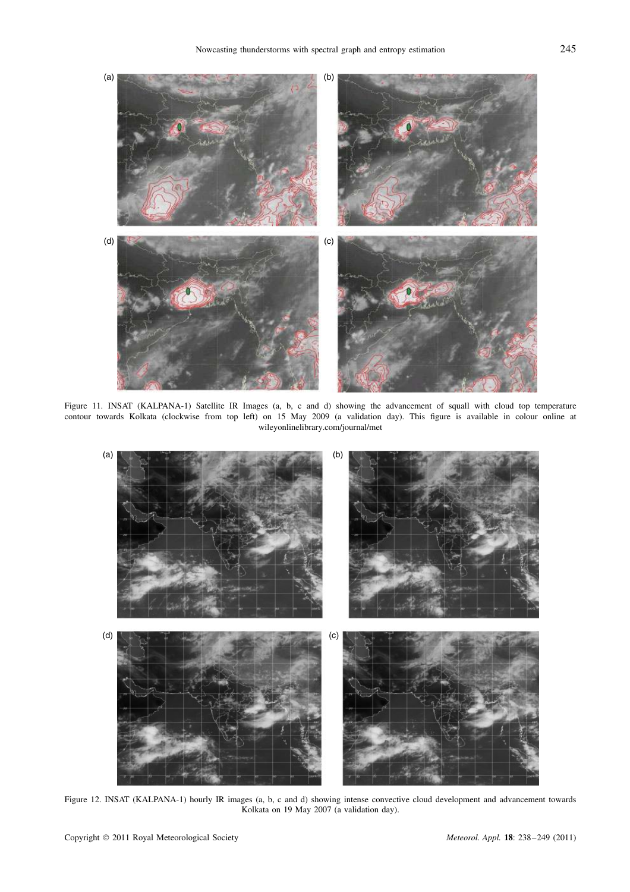

Figure 11. INSAT (KALPANA-1) Satellite IR Images (a, b, c and d) showing the advancement of squall with cloud top temperature contour towards Kolkata (clockwise from top left) on 15 May 2009 (a validation day). This figure is available in colour online at wileyonlinelibrary.com/journal/met



Figure 12. INSAT (KALPANA-1) hourly IR images (a, b, c and d) showing intense convective cloud development and advancement towards Kolkata on 19 May 2007 (a validation day).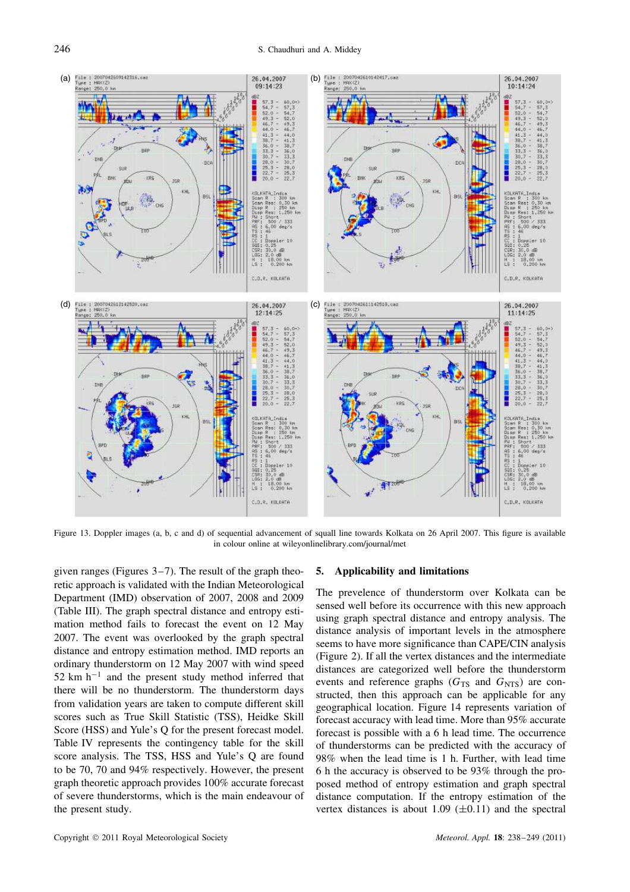

Figure 13. Doppler images (a, b, c and d) of sequential advancement of squall line towards Kolkata on 26 April 2007. This figure is available in colour online at wileyonlinelibrary.com/journal/met

given ranges (Figures 3–7). The result of the graph theoretic approach is validated with the Indian Meteorological Department (IMD) observation of 2007, 2008 and 2009 (Table III). The graph spectral distance and entropy estimation method fails to forecast the event on 12 May 2007. The event was overlooked by the graph spectral distance and entropy estimation method. IMD reports an ordinary thunderstorm on 12 May 2007 with wind speed  $52 \text{ km h}^{-1}$  and the present study method inferred that there will be no thunderstorm. The thunderstorm days from validation years are taken to compute different skill scores such as True Skill Statistic (TSS), Heidke Skill Score (HSS) and Yule's Q for the present forecast model. Table IV represents the contingency table for the skill score analysis. The TSS, HSS and Yule's Q are found to be 70, 70 and 94% respectively. However, the present graph theoretic approach provides 100% accurate forecast of severe thunderstorms, which is the main endeavour of the present study.

#### **5. Applicability and limitations**

The prevelence of thunderstorm over Kolkata can be sensed well before its occurrence with this new approach using graph spectral distance and entropy analysis. The distance analysis of important levels in the atmosphere seems to have more significance than CAPE/CIN analysis (Figure 2). If all the vertex distances and the intermediate distances are categorized well before the thunderstorm events and reference graphs  $(G_{TS}$  and  $G_{NTS}$ ) are constructed, then this approach can be applicable for any geographical location. Figure 14 represents variation of forecast accuracy with lead time. More than 95% accurate forecast is possible with a 6 h lead time. The occurrence of thunderstorms can be predicted with the accuracy of 98% when the lead time is 1 h. Further, with lead time 6 h the accuracy is observed to be 93% through the proposed method of entropy estimation and graph spectral distance computation. If the entropy estimation of the vertex distances is about 1.09  $(\pm 0.11)$  and the spectral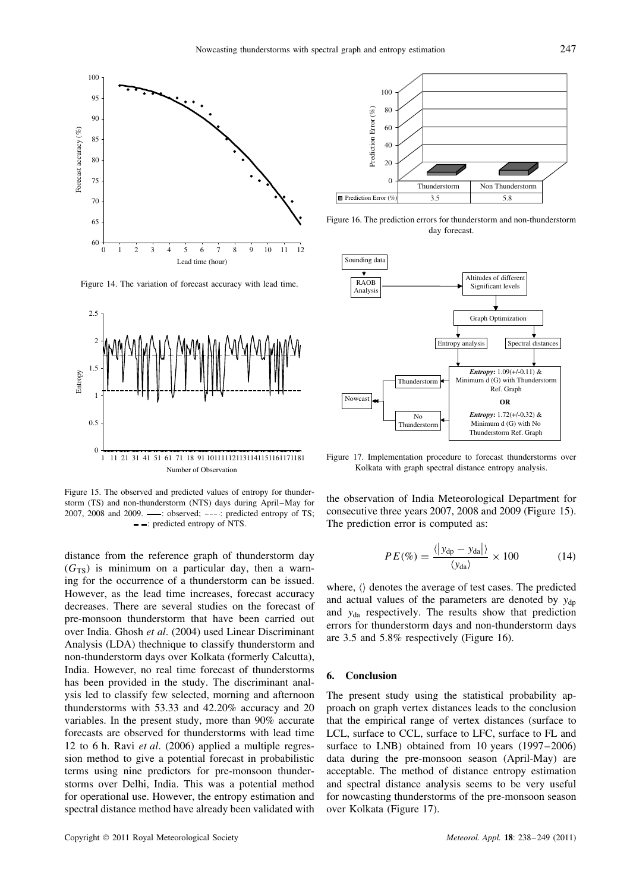

Figure 14. The variation of forecast accuracy with lead time.



Figure 15. The observed and predicted values of entropy for thunderstorm (TS) and non-thunderstorm (NTS) days during April–May for 2007, 2008 and 2009. - : observed; ---: predicted entropy of TS; : predicted entropy of NTS.

distance from the reference graph of thunderstorm day  $(G<sub>TS</sub>)$  is minimum on a particular day, then a warning for the occurrence of a thunderstorm can be issued. However, as the lead time increases, forecast accuracy decreases. There are several studies on the forecast of pre-monsoon thunderstorm that have been carried out over India. Ghosh *et al*. (2004) used Linear Discriminant Analysis (LDA) thechnique to classify thunderstorm and non-thunderstorm days over Kolkata (formerly Calcutta), India. However, no real time forecast of thunderstorms has been provided in the study. The discriminant analysis led to classify few selected, morning and afternoon thunderstorms with 53.33 and 42.20% accuracy and 20 variables. In the present study, more than 90% accurate forecasts are observed for thunderstorms with lead time 12 to 6 h. Ravi *et al*. (2006) applied a multiple regression method to give a potential forecast in probabilistic terms using nine predictors for pre-monsoon thunderstorms over Delhi, India. This was a potential method for operational use. However, the entropy estimation and spectral distance method have already been validated with



Figure 16. The prediction errors for thunderstorm and non-thunderstorm day forecast.



Figure 17. Implementation procedure to forecast thunderstorms over Kolkata with graph spectral distance entropy analysis.

the observation of India Meteorological Department for consecutive three years 2007, 2008 and 2009 (Figure 15). The prediction error is computed as:

$$
PE(\%) = \frac{\langle |y_{dp} - y_{da}| \rangle}{\langle y_{da} \rangle} \times 100 \tag{14}
$$

where,  $\langle \rangle$  denotes the average of test cases. The predicted and actual values of the parameters are denoted by  $y_{dn}$ and yda respectively. The results show that prediction errors for thunderstorm days and non-thunderstorm days are 3.5 and 5.8% respectively (Figure 16).

#### **6. Conclusion**

The present study using the statistical probability approach on graph vertex distances leads to the conclusion that the empirical range of vertex distances (surface to LCL, surface to CCL, surface to LFC, surface to FL and surface to LNB) obtained from 10 years (1997–2006) data during the pre-monsoon season (April-May) are acceptable. The method of distance entropy estimation and spectral distance analysis seems to be very useful for nowcasting thunderstorms of the pre-monsoon season over Kolkata (Figure 17).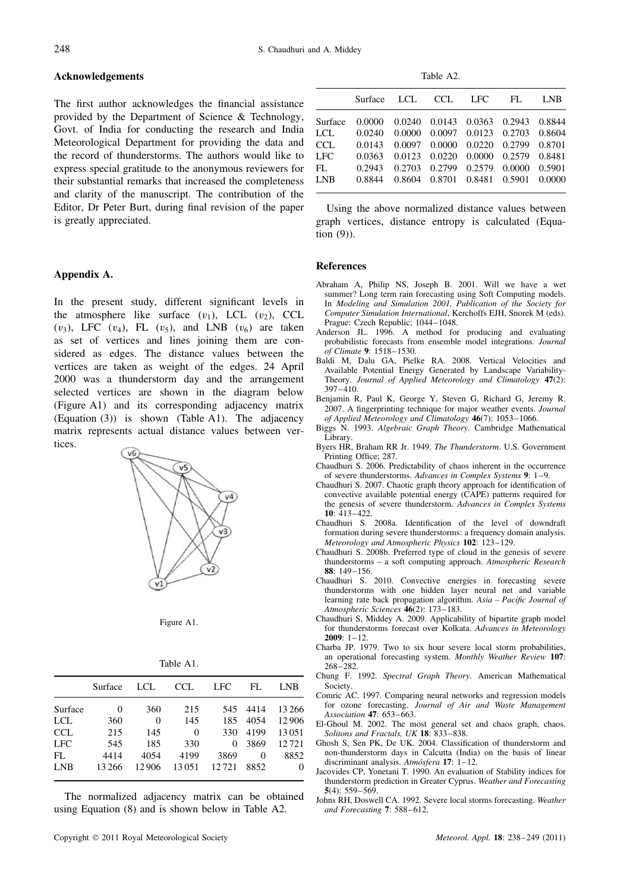#### **Acknowledgements**

The first author acknowledges the financial assistance provided by the Department of Science & Technology, Govt. of India for conducting the research and India Meteorological Department for providing the data and the record of thunderstorms. The authors would like to express special gratitude to the anonymous reviewers for their substantial remarks that increased the completeness and clarity of the manuscript. The contribution of the Editor, Dr Peter Burt, during final revision of the paper is greatly appreciated.

## **Appendix A.**

In the present study, different significant levels in the atmosphere like surface  $(v_1)$ , LCL  $(v_2)$ , CCL  $(v_3)$ , LFC  $(v_4)$ , FL  $(v_5)$ , and LNB  $(v_6)$  are taken as set of vertices and lines joining them are considered as edges. The distance values between the vertices are taken as weight of the edges. 24 April 2000 was a thunderstorm day and the arrangement selected vertices are shown in the diagram below (Figure A1) and its corresponding adjacency matrix (Equation (3)) is shown (Table A1). The adjacency matrix represents actual distance values between vertices.



Figure A1.

| Table A1. |  |  |
|-----------|--|--|
|           |  |  |

|            | Surface | LCL   | <b>CCL</b> | <b>LFC</b> | FL.  | <b>LNB</b> |
|------------|---------|-------|------------|------------|------|------------|
| Surface    | 0       | 360   | 215        | 545        | 4414 | 13 2 6 6   |
| LCL        | 360     | 0     | 145        | 185        | 4054 | 12906      |
| <b>CCL</b> | 215     | 145   | $\Omega$   | 330        | 4199 | 13051      |
| <b>LFC</b> | 545     | 185   | 330        | 0          | 3869 | 12721      |
| FL         | 4414    | 4054  | 4199       | 3869       | 0    | 8852       |
| <b>LNB</b> | 13 26 6 | 12906 | 13051      | 12721      | 8852 | 0          |
|            |         |       |            |            |      |            |

The normalized adjacency matrix can be obtained using Equation (8) and is shown below in Table A2.

Table A2.

|            | Surface | LCL.   | CCL.   | LFC.                 | FL.    | LNB    |
|------------|---------|--------|--------|----------------------|--------|--------|
| Surface    | 0.0000  | 0.0240 |        | 0.0143 0.0363 0.2943 |        | 0.8844 |
| LCL        | 0.0240  | 0.0000 | 0.0097 | 0.0123               | 0.2703 | 0.8604 |
| CCL        | 0.0143  | 0.0097 | 0.0000 | 0.0220               | 0.2799 | 0.8701 |
| <b>LFC</b> | 0.0363  | 0.0123 | 0.0220 | 0.0000               | 0.2579 | 0.8481 |
| FL         | 0.2943  | 0.2703 | 0.2799 | 0.2579               | 0.0000 | 0.5901 |
| <b>LNB</b> | 0.8844  | 0.8604 | 0.8701 | 0.8481               | 0.5901 | 0.0000 |
|            |         |        |        |                      |        |        |

Using the above normalized distance values between graph vertices, distance entropy is calculated (Equation (9)).

#### **References**

- Abraham A, Philip NS, Joseph B. 2001. Will we have a wet summer? Long term rain forecasting using Soft Computing models. In *Modeling and Simulation 2001, Publication of the Society for Computer Simulation International*, Kerchoffs EJH, Snorek M (eds). Prague: Czech Republic; 1044–1048.
- Anderson JL. 1996. A method for producing and evaluating probabilistic forecasts from ensemble model integrations. *Journal of Climate* **9**: 1518–1530.
- Baldi M, Dalu GA, Pielke RA. 2008. Vertical Velocities and Available Potential Energy Generated by Landscape Variability-Theory. *Journal of Applied Meteorology and Climatology* **47**(2):  $397 - 410$ .
- Benjamin R, Paul K, George Y, Steven G, Richard G, Jeremy R. 2007. A fingerprinting technique for major weather events. *Journal of Applied Meteorology and Climatology* **46**(7): 1053–1066.
- Biggs N. 1993. *Algebraic Graph Theory*. Cambridge Mathematical Library.
- Byers HR, Braham RR Jr. 1949. *The Thunderstorm*. U.S. Government Printing Office; 287.
- Chaudhuri S. 2006. Predictability of chaos inherent in the occurrence of severe thunderstorms. *Advances in Complex Systems* **9**: 1–9.
- Chaudhuri S. 2007. Chaotic graph theory approach for identification of convective available potential energy (CAPE) patterns required for the genesis of severe thunderstorm. *Advances in Complex Systems* **10**: 413–422.
- Chaudhuri S. 2008a. Identification of the level of downdraft formation during severe thunderstorms: a frequency domain analysis. *Meteorology and Atmospheric Physics* **102**: 123–129.
- Chaudhuri S. 2008b. Preferred type of cloud in the genesis of severe thunderstorms – a soft computing approach. *Atmospheric Research* **88**: 149–156.
- Chaudhuri S. 2010. Convective energies in forecasting severe thunderstorms with one hidden layer neural net and variable learning rate back propagation algorithm. *Asia – Pacific Journal of Atmospheric Sciences* **46**(2): 173–183.
- Chaudhuri S, Middey A. 2009. Applicability of bipartite graph model for thunderstorms forecast over Kolkata. *Advances in Meteorology* **2009**: 1–12.
- Charba JP. 1979. Two to six hour severe local storm probabilities, an operational forecasting system. *Monthly Weather Review* **107**: 268–282.
- Chung F. 1992. *Spectral Graph Theory*. American Mathematical Society.
- Comric AC. 1997. Comparing neural networks and regression models for ozone forecasting. *Journal of Air and Waste Management Association* **47**: 653–663.
- El-Ghoul M. 2002. The most general set and chaos graph, chaos. *Solitons and Fractals, UK* **18**: 833–838.
- Ghosh S, Sen PK, De UK. 2004. Classification of thunderstorm and non-thunderstorm days in Calcutta (India) on the basis of linear discriminant analysis. *Atm´osfera* **17**: 1–12.
- Jacovides CP, Yonetani T. 1990. An evaluation of Stability indices for thunderstorm prediction in Greater Cyprus. *Weather and Forecasting* **5**(4): 559–569.
- Johns RH, Doswell CA. 1992. Severe local storms forecasting. *Weather and Forecasting* **7**: 588–612.